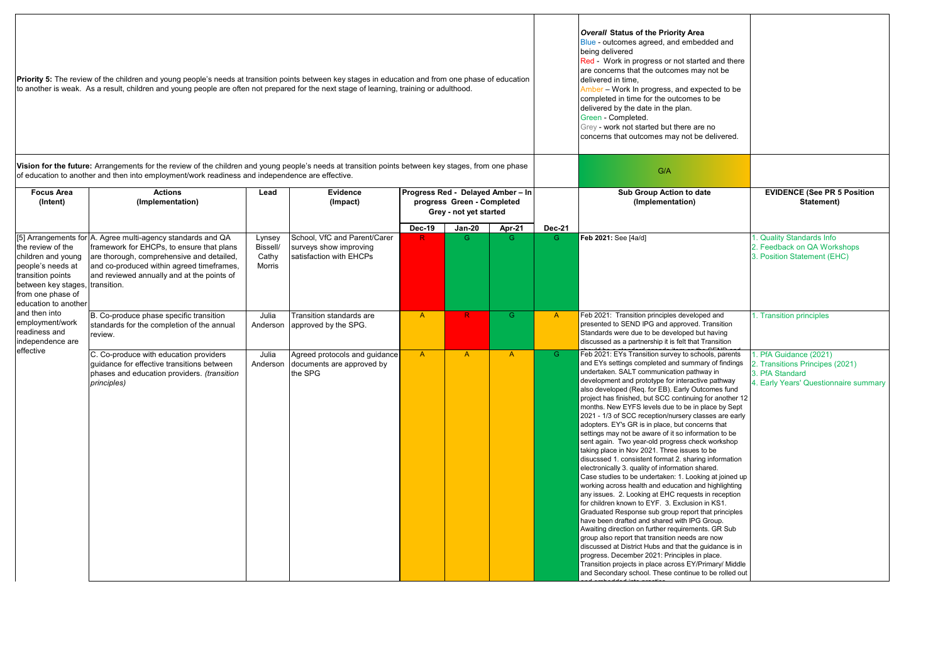|                                                                                                                                                                                                                                                                                                                                                        | Priority 5: The review of the children and young people's needs at transition points between key stages in education and from one phase of education<br>to another is weak. As a result, children and young people are often not prepared for the next stage of learning, training or adulthood. |                                       |                                                                                   | <b>Overall Status of the Priority Area</b><br>Blue - outcomes agreed, and embedded and<br>being delivered<br>Red - Work in progress or not started and there<br>are concerns that the outcomes may not be<br>delivered in time,<br>Amber - Work In progress, and expected to be<br>completed in time for the outcomes to be<br>delivered by the date in the plan.<br>Green - Completed.<br>Grey - work not started but there are no<br>concerns that outcomes may not be delivered. |                                                      |              |                    |                                                                                                                                                                                                                                                                                                                                                                                                                                                                                                                                                                                                                                                                                                                                                                                                                                                                                                                                                                                                                                                                                                                                                                                                                                                                                                                                                                                                                                                   |                                                                                                                       |
|--------------------------------------------------------------------------------------------------------------------------------------------------------------------------------------------------------------------------------------------------------------------------------------------------------------------------------------------------------|--------------------------------------------------------------------------------------------------------------------------------------------------------------------------------------------------------------------------------------------------------------------------------------------------|---------------------------------------|-----------------------------------------------------------------------------------|-------------------------------------------------------------------------------------------------------------------------------------------------------------------------------------------------------------------------------------------------------------------------------------------------------------------------------------------------------------------------------------------------------------------------------------------------------------------------------------|------------------------------------------------------|--------------|--------------------|---------------------------------------------------------------------------------------------------------------------------------------------------------------------------------------------------------------------------------------------------------------------------------------------------------------------------------------------------------------------------------------------------------------------------------------------------------------------------------------------------------------------------------------------------------------------------------------------------------------------------------------------------------------------------------------------------------------------------------------------------------------------------------------------------------------------------------------------------------------------------------------------------------------------------------------------------------------------------------------------------------------------------------------------------------------------------------------------------------------------------------------------------------------------------------------------------------------------------------------------------------------------------------------------------------------------------------------------------------------------------------------------------------------------------------------------------|-----------------------------------------------------------------------------------------------------------------------|
| Vision for the future: Arrangements for the review of the children and young people's needs at transition points between key stages, from one phase<br>of education to another and then into employment/work readiness and independence are effective.<br><b>Actions</b><br>Progress Red - Delayed Amber - In<br><b>Focus Area</b><br>Lead<br>Evidence |                                                                                                                                                                                                                                                                                                  |                                       |                                                                                   |                                                                                                                                                                                                                                                                                                                                                                                                                                                                                     |                                                      |              |                    | G/A<br>Sub Group Action to date                                                                                                                                                                                                                                                                                                                                                                                                                                                                                                                                                                                                                                                                                                                                                                                                                                                                                                                                                                                                                                                                                                                                                                                                                                                                                                                                                                                                                   | <b>EVIDENCE (See PR 5 Position</b>                                                                                    |
| (Intent)                                                                                                                                                                                                                                                                                                                                               | (Implementation)                                                                                                                                                                                                                                                                                 |                                       | (Impact)                                                                          |                                                                                                                                                                                                                                                                                                                                                                                                                                                                                     | progress Green - Completed<br>Grey - not yet started |              |                    | (Implementation)                                                                                                                                                                                                                                                                                                                                                                                                                                                                                                                                                                                                                                                                                                                                                                                                                                                                                                                                                                                                                                                                                                                                                                                                                                                                                                                                                                                                                                  | Statement)                                                                                                            |
| the review of the<br>children and young<br>people's needs at<br>transition points<br>between key stages<br>from one phase of<br>education to another<br>and then into<br>employment/work<br>readiness and<br>independence are<br>effective                                                                                                             | [5] Arrangements for A. Agree multi-agency standards and QA<br>framework for EHCPs, to ensure that plans<br>are thorough, comprehensive and detailed,<br>and co-produced within agreed timeframes,<br>and reviewed annually and at the points of<br>transition.                                  | Lynsey<br>Bissell/<br>Cathy<br>Morris | School, VfC and Parent/Carer<br>surveys show improving<br>satisfaction with EHCPs | <b>Dec-19</b>                                                                                                                                                                                                                                                                                                                                                                                                                                                                       | <b>Jan-20</b><br>G                                   | Apr-21<br>G. | <b>Dec-21</b><br>G | Feb 2021: See [4a/d]                                                                                                                                                                                                                                                                                                                                                                                                                                                                                                                                                                                                                                                                                                                                                                                                                                                                                                                                                                                                                                                                                                                                                                                                                                                                                                                                                                                                                              | . Quality Standards Info<br>2. Feedback on QA Workshops<br>3. Position Statement (EHC)                                |
|                                                                                                                                                                                                                                                                                                                                                        | B. Co-produce phase specific transition<br>standards for the completion of the annual<br>review.                                                                                                                                                                                                 | Julia<br>Anderson                     | Transition standards are<br>approved by the SPG.                                  | $\mathsf{A}$                                                                                                                                                                                                                                                                                                                                                                                                                                                                        | R                                                    | G            | $\mathsf{A}$       | Feb 2021: Transition principles developed and<br>presented to SEND IPG and approved. Transition<br>Standards were due to be developed but having<br>discussed as a partnership it is felt that Transition                                                                                                                                                                                                                                                                                                                                                                                                                                                                                                                                                                                                                                                                                                                                                                                                                                                                                                                                                                                                                                                                                                                                                                                                                                         | 1. Transition principles                                                                                              |
|                                                                                                                                                                                                                                                                                                                                                        | C. Co-produce with education providers<br>quidance for effective transitions between<br>phases and education providers. (transition<br>principles)                                                                                                                                               | Julia<br>Anderson                     | Agreed protocols and guidance<br>documents are approved by<br>the SPG             | $\overline{A}$                                                                                                                                                                                                                                                                                                                                                                                                                                                                      | $\overline{A}$                                       | $\mathsf{A}$ | G.                 | Feb 2021: EYs Transition survey to schools, parents<br>and EYs settings completed and summary of findings<br>undertaken. SALT communication pathway in<br>development and prototype for interactive pathway<br>also developed (Req. for EB). Early Outcomes fund<br>project has finished, but SCC continuing for another 12<br>months. New EYFS levels due to be in place by Sept<br>2021 - 1/3 of SCC reception/nursery classes are early<br>adopters. EY's GR is in place, but concerns that<br>settings may not be aware of it so information to be<br>sent again. Two year-old progress check workshop<br>taking place in Nov 2021. Three issues to be<br>disucssed 1. consistent format 2. sharing information<br>electronically 3. quality of information shared.<br>Case studies to be undertaken: 1. Looking at joined up<br>working across health and education and highlighting<br>any issues. 2. Looking at EHC requests in reception<br>for children known to EYF. 3. Exclusion in KS1.<br>Graduated Response sub group report that principles<br>have been drafted and shared with IPG Group.<br>Awaiting direction on further requirements. GR Sub<br>group also report that transition needs are now<br>discussed at District Hubs and that the guidance is in<br>progress. December 2021: Principles in place.<br>Transition projects in place across EY/Primary/ Middle<br>and Secondary school. These continue to be rolled out | 1. PfA Guidance (2021)<br>2. Transitions Principes (2021)<br>3. PfA Standard<br>I. Early Years' Questionnaire summary |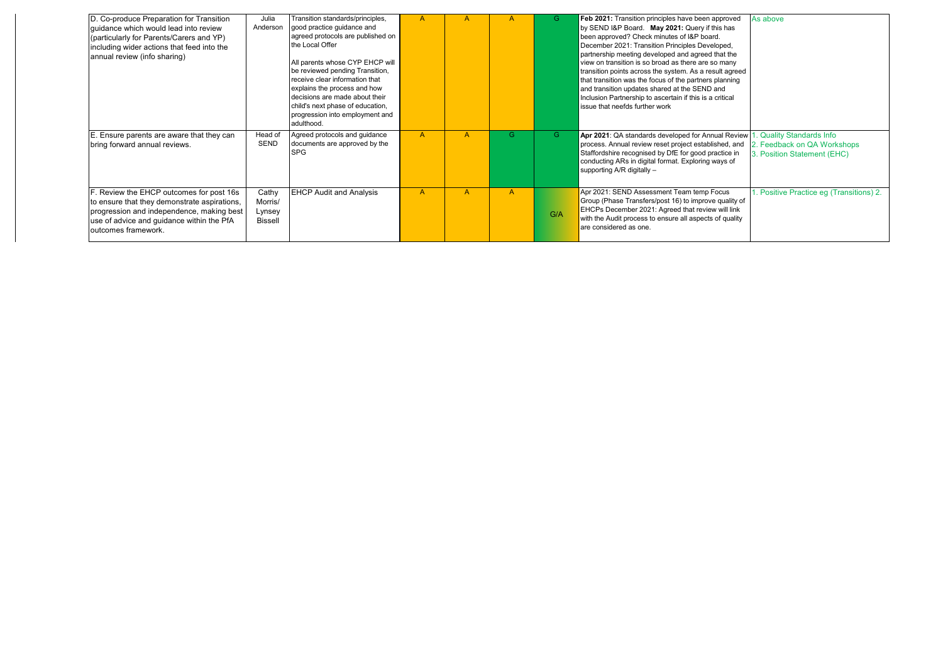| D. Co-produce Preparation for Transition<br>quidance which would lead into review<br>(particularly for Parents/Carers and YP)<br>including wider actions that feed into the<br>annual review (info sharing) | Julia<br>Anderson                            | Transition standards/principles,<br>good practice guidance and<br>agreed protocols are published on<br>the Local Offer<br>All parents whose CYP EHCP will<br>be reviewed pending Transition,<br>receive clear information that<br>explains the process and how<br>decisions are made about their<br>child's next phase of education,<br>progression into employment and<br>adulthood. |                |              |                | G   | Feb 2021: Transition principles have been approved<br>As above<br>by SEND I&P Board. May 2021: Query if this has<br>been approved? Check minutes of I&P board.<br>December 2021: Transition Principles Developed,<br>partnership meeting developed and agreed that the<br>view on transition is so broad as there are so many<br>transition points across the system. As a result agreed<br>that transition was the focus of the partners planning<br>and transition updates shared at the SEND and<br>Inclusion Partnership to ascertain if this is a critical<br>issue that neefds further work |
|-------------------------------------------------------------------------------------------------------------------------------------------------------------------------------------------------------------|----------------------------------------------|---------------------------------------------------------------------------------------------------------------------------------------------------------------------------------------------------------------------------------------------------------------------------------------------------------------------------------------------------------------------------------------|----------------|--------------|----------------|-----|---------------------------------------------------------------------------------------------------------------------------------------------------------------------------------------------------------------------------------------------------------------------------------------------------------------------------------------------------------------------------------------------------------------------------------------------------------------------------------------------------------------------------------------------------------------------------------------------------|
| E. Ensure parents are aware that they can<br>bring forward annual reviews.                                                                                                                                  | Head of<br>SEND                              | Agreed protocols and guidance<br>documents are approved by the<br><b>SPG</b>                                                                                                                                                                                                                                                                                                          | $\overline{A}$ |              | G              | G.  | Quality Standards Info<br>Apr 2021: QA standards developed for Annual Review<br>process. Annual review reset project established, and<br>2. Feedback on QA Workshops<br>Staffordshire recognised by DfE for good practice in<br>3. Position Statement (EHC)<br>conducting ARs in digital format. Exploring ways of<br>supporting A/R digitally -                                                                                                                                                                                                                                                  |
| F. Review the EHCP outcomes for post 16s<br>to ensure that they demonstrate aspirations,<br>progression and independence, making best<br>use of advice and quidance within the PfA<br>outcomes framework.   | Cathy<br>Morris/<br>Lynsey<br><b>Bissell</b> | <b>EHCP Audit and Analysis</b>                                                                                                                                                                                                                                                                                                                                                        | A              | $\mathsf{A}$ | $\overline{A}$ | G/A | Apr 2021: SEND Assessment Team temp Focus<br>. Positive Practice eq (Transitions) 2.<br>Group (Phase Transfers/post 16) to improve quality of<br>EHCPs December 2021: Agreed that review will link<br>with the Audit process to ensure all aspects of quality<br>are considered as one.                                                                                                                                                                                                                                                                                                           |